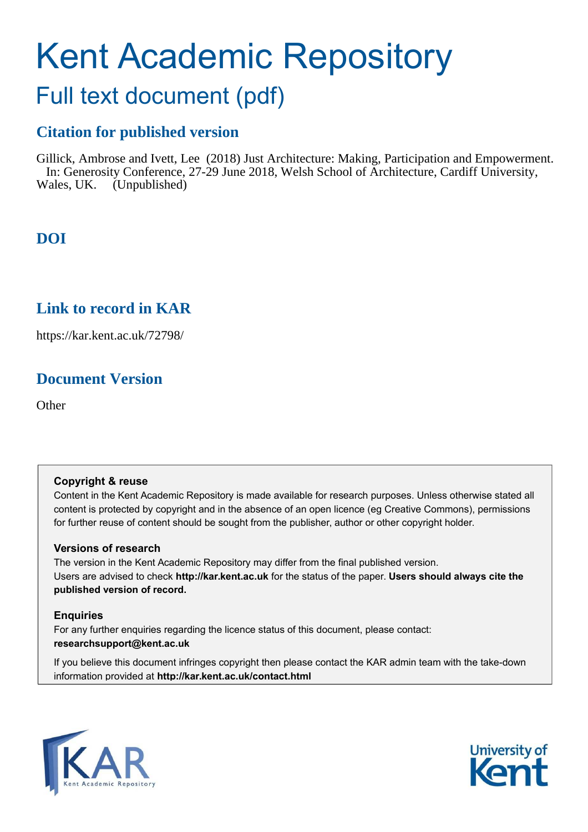# Kent Academic Repository

## Full text document (pdf)

## **Citation for published version**

Gillick, Ambrose and Ivett, Lee (2018) Just Architecture: Making, Participation and Empowerment. In: Generosity Conference, 27-29 June 2018, Welsh School of Architecture, Cardiff University, Wales, UK. (Unpublished)

## **DOI**

## **Link to record in KAR**

https://kar.kent.ac.uk/72798/

## **Document Version**

**Other** 

#### **Copyright & reuse**

Content in the Kent Academic Repository is made available for research purposes. Unless otherwise stated all content is protected by copyright and in the absence of an open licence (eg Creative Commons), permissions for further reuse of content should be sought from the publisher, author or other copyright holder.

#### **Versions of research**

The version in the Kent Academic Repository may differ from the final published version. Users are advised to check **http://kar.kent.ac.uk** for the status of the paper. **Users should always cite the published version of record.**

#### **Enquiries**

For any further enquiries regarding the licence status of this document, please contact: **researchsupport@kent.ac.uk**

If you believe this document infringes copyright then please contact the KAR admin team with the take-down information provided at **http://kar.kent.ac.uk/contact.html**



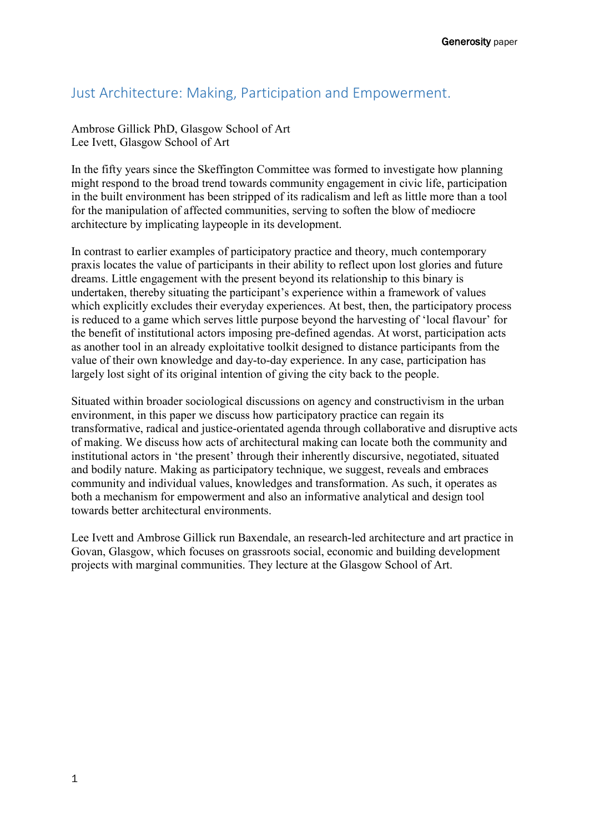### Just Architecture: Making, Participation and Empowerment.

Ambrose Gillick PhD, Glasgow School of Art Lee Ivett, Glasgow School of Art

In the fifty years since the Skeffington Committee was formed to investigate how planning might respond to the broad trend towards community engagement in civic life, participation in the built environment has been stripped of its radicalism and left as little more than a tool for the manipulation of affected communities, serving to soften the blow of mediocre architecture by implicating laypeople in its development.

In contrast to earlier examples of participatory practice and theory, much contemporary praxis locates the value of participants in their ability to reflect upon lost glories and future dreams. Little engagement with the present beyond its relationship to this binary is undertaken, thereby situating the participant's experience within a framework of values which explicitly excludes their everyday experiences. At best, then, the participatory process is reduced to a game which serves little purpose beyond the harvesting of 'local flavour' for the benefit of institutional actors imposing pre-defined agendas. At worst, participation acts as another tool in an already exploitative toolkit designed to distance participants from the value of their own knowledge and day-to-day experience. In any case, participation has largely lost sight of its original intention of giving the city back to the people.

Situated within broader sociological discussions on agency and constructivism in the urban environment, in this paper we discuss how participatory practice can regain its transformative, radical and justice-orientated agenda through collaborative and disruptive acts of making. We discuss how acts of architectural making can locate both the community and institutional actors in 'the present' through their inherently discursive, negotiated, situated and bodily nature. Making as participatory technique, we suggest, reveals and embraces community and individual values, knowledges and transformation. As such, it operates as both a mechanism for empowerment and also an informative analytical and design tool towards better architectural environments.

Lee Ivett and Ambrose Gillick run Baxendale, an research-led architecture and art practice in Govan, Glasgow, which focuses on grassroots social, economic and building development projects with marginal communities. They lecture at the Glasgow School of Art.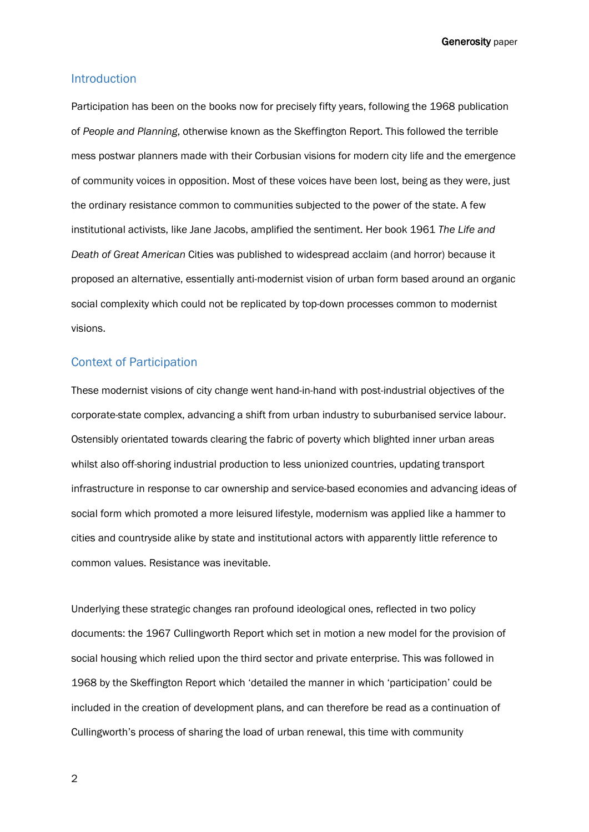#### Introduction

Participation has been on the books now for precisely fifty years, following the 1968 publication of *People and Planning*, otherwise known as the Skeffington Report. This followed the terrible mess postwar planners made with their Corbusian visions for modern city life and the emergence of community voices in opposition. Most of these voices have been lost, being as they were, just the ordinary resistance common to communities subjected to the power of the state. A few institutional activists, like Jane Jacobs, amplified the sentiment. Her book 1961 *The Life and Death of Great American* Cities was published to widespread acclaim (and horror) because it proposed an alternative, essentially anti-modernist vision of urban form based around an organic social complexity which could not be replicated by top-down processes common to modernist visions.

#### Context of Participation

These modernist visions of city change went hand-in-hand with post-industrial objectives of the corporate-state complex, advancing a shift from urban industry to suburbanised service labour. Ostensibly orientated towards clearing the fabric of poverty which blighted inner urban areas whilst also off-shoring industrial production to less unionized countries, updating transport infrastructure in response to car ownership and service-based economies and advancing ideas of social form which promoted a more leisured lifestyle, modernism was applied like a hammer to cities and countryside alike by state and institutional actors with apparently little reference to common values. Resistance was inevitable.

Underlying these strategic changes ran profound ideological ones, reflected in two policy documents: the 1967 Cullingworth Report which set in motion a new model for the provision of social housing which relied upon the third sector and private enterprise. This was followed in 1968 by the Skeffington Report which 'detailed the manner in which 'participation' could be included in the creation of development plans, and can therefore be read as a continuation of Cullingworth's process of sharing the load of urban renewal, this time with community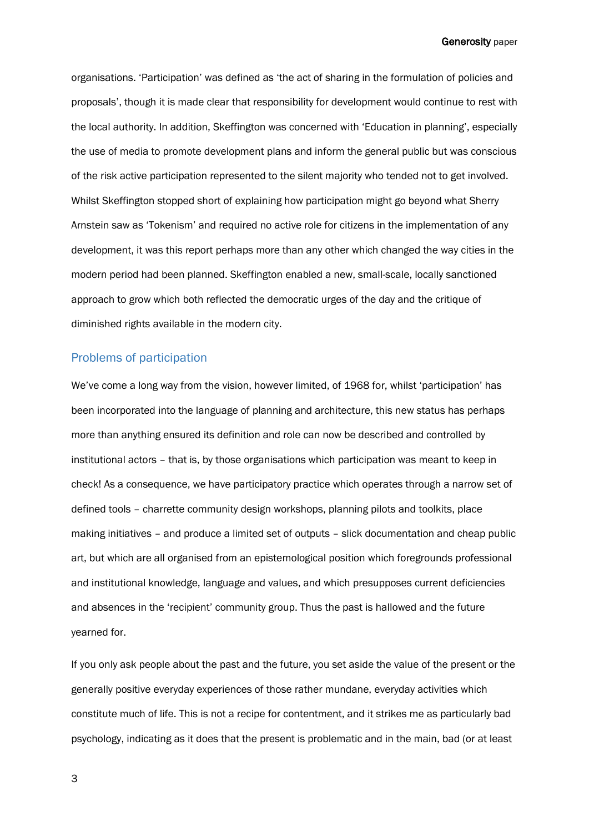organisations. 'Participation' was defined as 'the act of sharing in the formulation of policies and proposals', though it is made clear that responsibility for development would continue to rest with the local authority. In addition, Skeffington was concerned with 'Education in planning', especially the use of media to promote development plans and inform the general public but was conscious of the risk active participation represented to the silent majority who tended not to get involved. Whilst Skeffington stopped short of explaining how participation might go beyond what Sherry Arnstein saw as 'Tokenism' and required no active role for citizens in the implementation of any development, it was this report perhaps more than any other which changed the way cities in the modern period had been planned. Skeffington enabled a new, small-scale, locally sanctioned approach to grow which both reflected the democratic urges of the day and the critique of diminished rights available in the modern city.

#### Problems of participation

We've come a long way from the vision, however limited, of 1968 for, whilst 'participation' has been incorporated into the language of planning and architecture, this new status has perhaps more than anything ensured its definition and role can now be described and controlled by institutional actors - that is, by those organisations which participation was meant to keep in check! As a consequence, we have participatory practice which operates through a narrow set of defined tools - charrette community design workshops, planning pilots and toolkits, place making initiatives – and produce a limited set of outputs – slick documentation and cheap public art, but which are all organised from an epistemological position which foregrounds professional and institutional knowledge, language and values, and which presupposes current deficiencies and absences in the 'recipient' community group. Thus the past is hallowed and the future yearned for.

If you only ask people about the past and the future, you set aside the value of the present or the generally positive everyday experiences of those rather mundane, everyday activities which constitute much of life. This is not a recipe for contentment, and it strikes me as particularly bad psychology, indicating as it does that the present is problematic and in the main, bad (or at least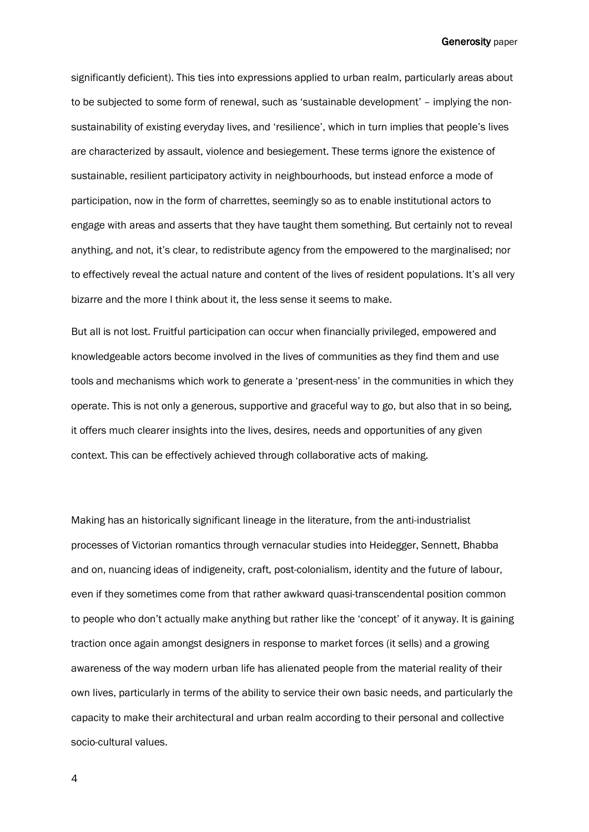significantly deficient). This ties into expressions applied to urban realm, particularly areas about to be subjected to some form of renewal, such as 'sustainable development' – implying the nonsustainability of existing everyday lives, and 'resilience', which in turn implies that people's lives are characterized by assault, violence and besiegement. These terms ignore the existence of sustainable, resilient participatory activity in neighbourhoods, but instead enforce a mode of participation, now in the form of charrettes, seemingly so as to enable institutional actors to engage with areas and asserts that they have taught them something. But certainly not to reveal anything, and not, it's clear, to redistribute agency from the empowered to the marginalised; nor to effectively reveal the actual nature and content of the lives of resident populations. It's all very bizarre and the more I think about it, the less sense it seems to make.

But all is not lost. Fruitful participation can occur when financially privileged, empowered and knowledgeable actors become involved in the lives of communities as they find them and use tools and mechanisms which work to generate a 'present-ness' in the communities in which they operate. This is not only a generous, supportive and graceful way to go, but also that in so being, it offers much clearer insights into the lives, desires, needs and opportunities of any given context. This can be effectively achieved through collaborative acts of making.

Making has an historically significant lineage in the literature, from the anti-industrialist processes of Victorian romantics through vernacular studies into Heidegger, Sennett, Bhabba and on, nuancing ideas of indigeneity, craft, post-colonialism, identity and the future of labour, even if they sometimes come from that rather awkward quasi-transcendental position common to people who don't actually make anything but rather like the 'concept' of it anyway. It is gaining traction once again amongst designers in response to market forces (it sells) and a growing awareness of the way modern urban life has alienated people from the material reality of their own lives, particularly in terms of the ability to service their own basic needs, and particularly the capacity to make their architectural and urban realm according to their personal and collective socio-cultural values.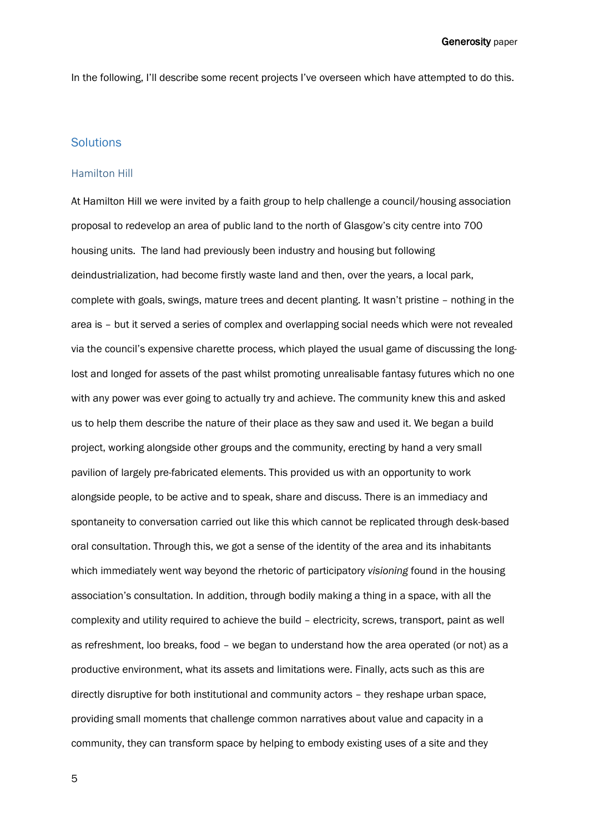In the following, I'll describe some recent projects I've overseen which have attempted to do this.

#### **Solutions**

#### Hamilton Hill

At Hamilton Hill we were invited by a faith group to help challenge a council/housing association proposal to redevelop an area of public land to the north of Glasgow's city centre into 700 housing units. The land had previously been industry and housing but following deindustrialization, had become firstly waste land and then, over the years, a local park, complete with goals, swings, mature trees and decent planting. It wasn't pristine - nothing in the area is – but it served a series of complex and overlapping social needs which were not revealed via the council's expensive charette process, which played the usual game of discussing the longlost and longed for assets of the past whilst promoting unrealisable fantasy futures which no one with any power was ever going to actually try and achieve. The community knew this and asked us to help them describe the nature of their place as they saw and used it. We began a build project, working alongside other groups and the community, erecting by hand a very small pavilion of largely pre-fabricated elements. This provided us with an opportunity to work alongside people, to be active and to speak, share and discuss. There is an immediacy and spontaneity to conversation carried out like this which cannot be replicated through desk-based oral consultation. Through this, we got a sense of the identity of the area and its inhabitants which immediately went way beyond the rhetoric of participatory *visioning* found in the housing associationís consultation. In addition, through bodily making a thing in a space, with all the complexity and utility required to achieve the build - electricity, screws, transport, paint as well as refreshment, loo breaks, food - we began to understand how the area operated (or not) as a productive environment, what its assets and limitations were. Finally, acts such as this are directly disruptive for both institutional and community actors - they reshape urban space, providing small moments that challenge common narratives about value and capacity in a community, they can transform space by helping to embody existing uses of a site and they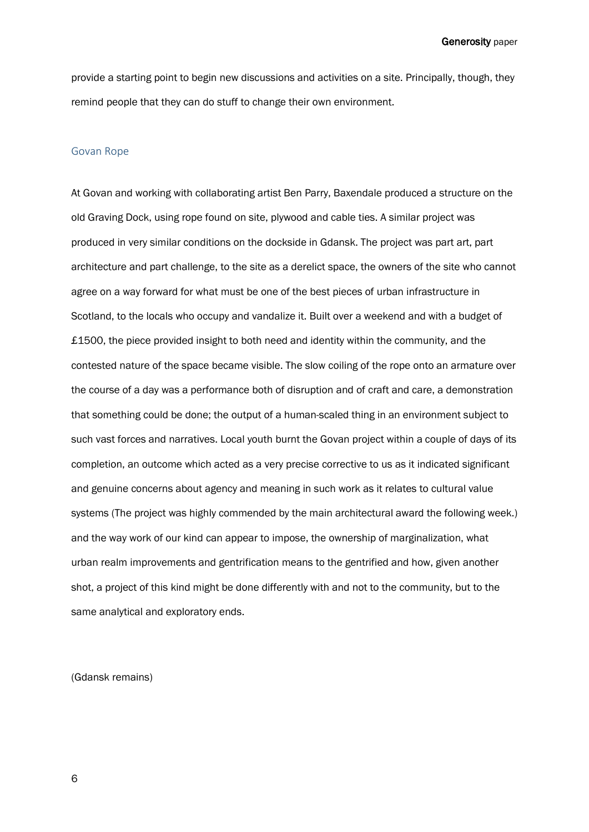provide a starting point to begin new discussions and activities on a site. Principally, though, they remind people that they can do stuff to change their own environment.

#### Govan Rope

At Govan and working with collaborating artist Ben Parry, Baxendale produced a structure on the old Graving Dock, using rope found on site, plywood and cable ties. A similar project was produced in very similar conditions on the dockside in Gdansk. The project was part art, part architecture and part challenge, to the site as a derelict space, the owners of the site who cannot agree on a way forward for what must be one of the best pieces of urban infrastructure in Scotland, to the locals who occupy and vandalize it. Built over a weekend and with a budget of £1500, the piece provided insight to both need and identity within the community, and the contested nature of the space became visible. The slow coiling of the rope onto an armature over the course of a day was a performance both of disruption and of craft and care, a demonstration that something could be done; the output of a human-scaled thing in an environment subject to such vast forces and narratives. Local youth burnt the Govan project within a couple of days of its completion, an outcome which acted as a very precise corrective to us as it indicated significant and genuine concerns about agency and meaning in such work as it relates to cultural value systems (The project was highly commended by the main architectural award the following week.) and the way work of our kind can appear to impose, the ownership of marginalization, what urban realm improvements and gentrification means to the gentrified and how, given another shot, a project of this kind might be done differently with and not to the community, but to the same analytical and exploratory ends.

(Gdansk remains)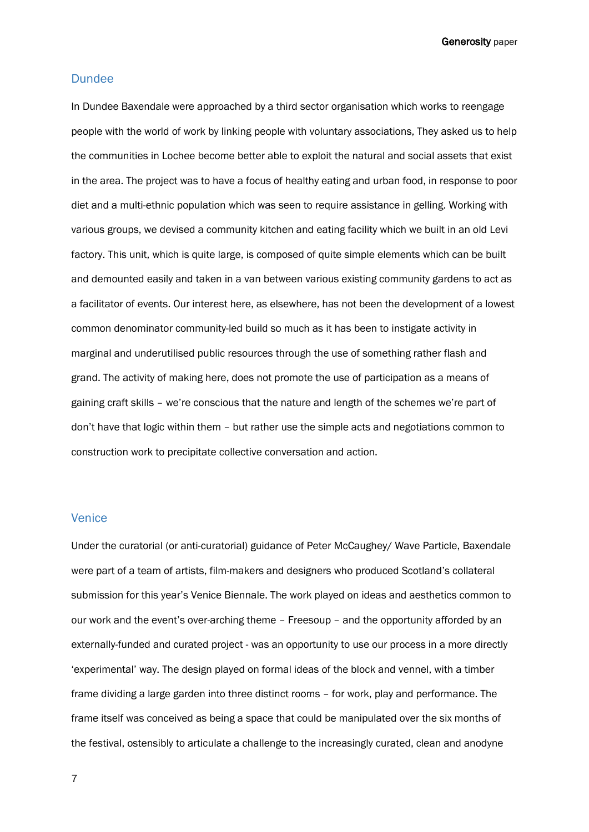#### **Dundee**

In Dundee Baxendale were approached by a third sector organisation which works to reengage people with the world of work by linking people with voluntary associations, They asked us to help the communities in Lochee become better able to exploit the natural and social assets that exist in the area. The project was to have a focus of healthy eating and urban food, in response to poor diet and a multi-ethnic population which was seen to require assistance in gelling. Working with various groups, we devised a community kitchen and eating facility which we built in an old Levi factory. This unit, which is quite large, is composed of quite simple elements which can be built and demounted easily and taken in a van between various existing community gardens to act as a facilitator of events. Our interest here, as elsewhere, has not been the development of a lowest common denominator community-led build so much as it has been to instigate activity in marginal and underutilised public resources through the use of something rather flash and grand. The activity of making here, does not promote the use of participation as a means of gaining craft skills - we're conscious that the nature and length of the schemes we're part of don't have that logic within them - but rather use the simple acts and negotiations common to construction work to precipitate collective conversation and action.

#### Venice

Under the curatorial (or anti-curatorial) guidance of Peter McCaughey/ Wave Particle, Baxendale were part of a team of artists, film-makers and designers who produced Scotland's collateral submission for this yearís Venice Biennale. The work played on ideas and aesthetics common to our work and the event's over-arching theme - Freesoup - and the opportunity afforded by an externally-funded and curated project - was an opportunity to use our process in a more directly ëexperimentalí way. The design played on formal ideas of the block and vennel, with a timber frame dividing a large garden into three distinct rooms - for work, play and performance. The frame itself was conceived as being a space that could be manipulated over the six months of the festival, ostensibly to articulate a challenge to the increasingly curated, clean and anodyne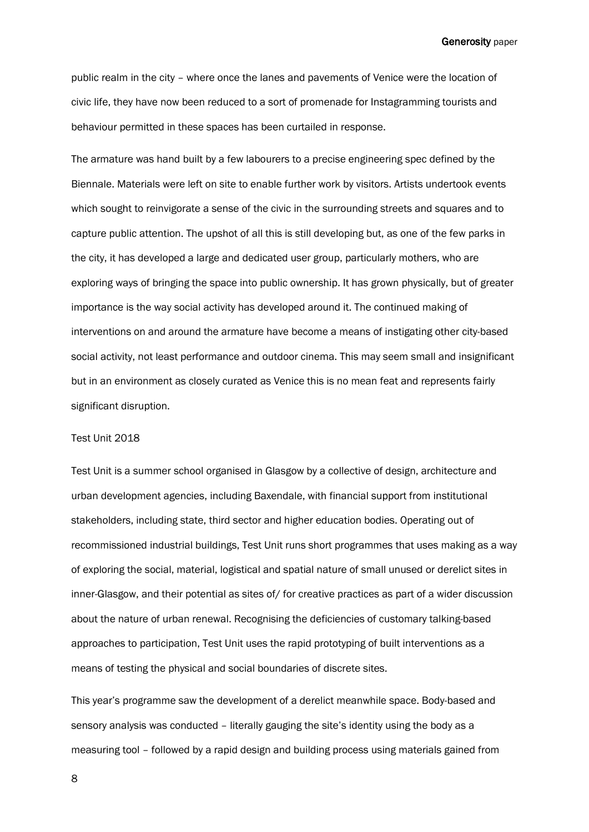public realm in the city – where once the lanes and pavements of Venice were the location of civic life, they have now been reduced to a sort of promenade for Instagramming tourists and behaviour permitted in these spaces has been curtailed in response.

The armature was hand built by a few labourers to a precise engineering spec defined by the Biennale. Materials were left on site to enable further work by visitors. Artists undertook events which sought to reinvigorate a sense of the civic in the surrounding streets and squares and to capture public attention. The upshot of all this is still developing but, as one of the few parks in the city, it has developed a large and dedicated user group, particularly mothers, who are exploring ways of bringing the space into public ownership. It has grown physically, but of greater importance is the way social activity has developed around it. The continued making of interventions on and around the armature have become a means of instigating other city-based social activity, not least performance and outdoor cinema. This may seem small and insignificant but in an environment as closely curated as Venice this is no mean feat and represents fairly significant disruption.

#### Test Unit 2018

Test Unit is a summer school organised in Glasgow by a collective of design, architecture and urban development agencies, including Baxendale, with financial support from institutional stakeholders, including state, third sector and higher education bodies. Operating out of recommissioned industrial buildings, Test Unit runs short programmes that uses making as a way of exploring the social, material, logistical and spatial nature of small unused or derelict sites in inner-Glasgow, and their potential as sites of/ for creative practices as part of a wider discussion about the nature of urban renewal. Recognising the deficiencies of customary talking-based approaches to participation, Test Unit uses the rapid prototyping of built interventions as a means of testing the physical and social boundaries of discrete sites.

This yearís programme saw the development of a derelict meanwhile space. Body-based and sensory analysis was conducted – literally gauging the site's identity using the body as a measuring tool - followed by a rapid design and building process using materials gained from